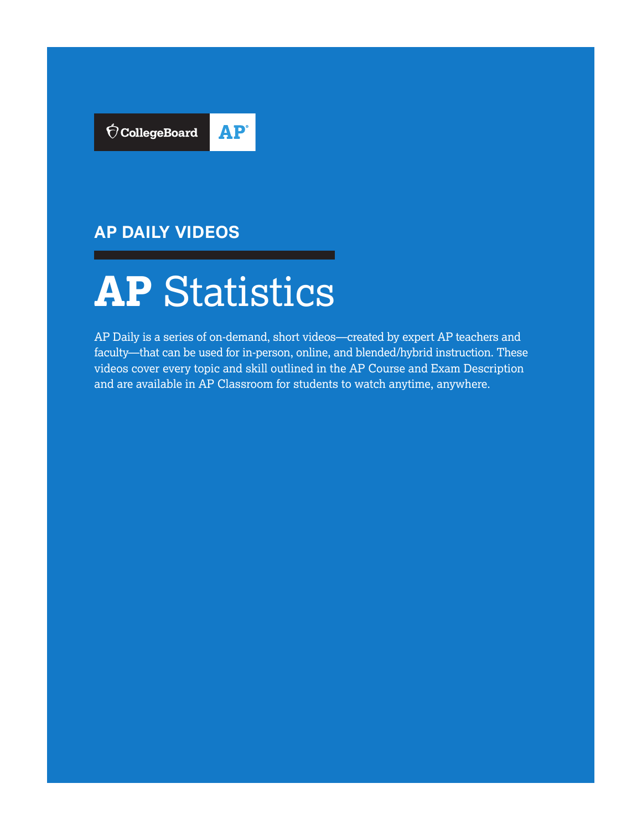

# **AP DAILY VIDEOS**



AP Daily is a series of on-demand, short videos—created by expert AP teachers and faculty—that can be used for in-person, online, and blended/hybrid instruction. These videos cover every topic and skill outlined in the AP Course and Exam Description and are available in AP Classroom for students to watch anytime, anywhere.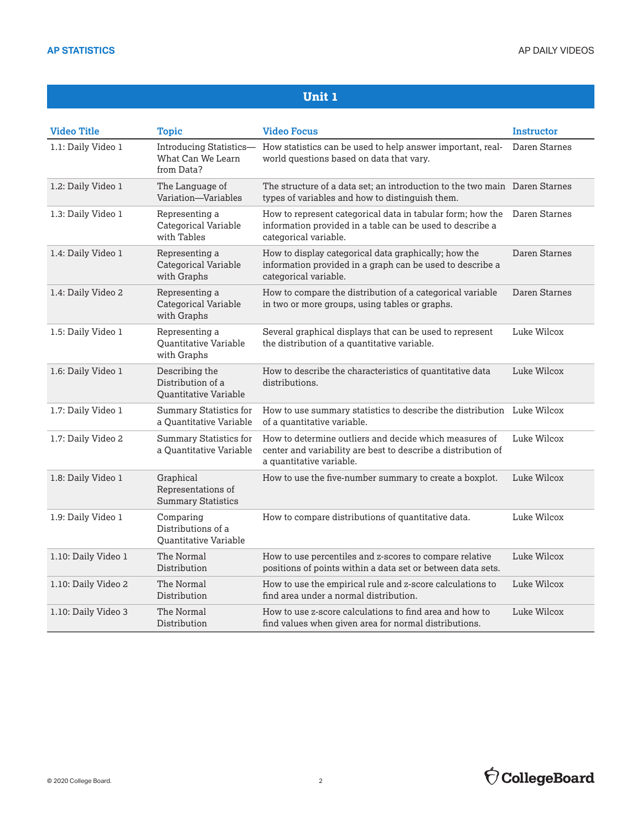| <b>Video Title</b>  | <b>Topic</b>                                                 | <b>Video Focus</b>                                                                                                                                             | <b>Instructor</b> |
|---------------------|--------------------------------------------------------------|----------------------------------------------------------------------------------------------------------------------------------------------------------------|-------------------|
| 1.1: Daily Video 1  | Introducing Statistics-<br>What Can We Learn<br>from Data?   | How statistics can be used to help answer important, real-<br>world questions based on data that vary.                                                         | Daren Starnes     |
| 1.2: Daily Video 1  | The Language of<br>Variation—Variables                       | The structure of a data set; an introduction to the two main Daren Starnes<br>types of variables and how to distinguish them.                                  |                   |
| 1.3: Daily Video 1  | Representing a<br>Categorical Variable<br>with Tables        | How to represent categorical data in tabular form; how the Daren Starnes<br>information provided in a table can be used to describe a<br>categorical variable. |                   |
| 1.4: Daily Video 1  | Representing a<br>Categorical Variable<br>with Graphs        | How to display categorical data graphically; how the<br>information provided in a graph can be used to describe a<br>categorical variable.                     | Daren Starnes     |
| 1.4: Daily Video 2  | Representing a<br>Categorical Variable<br>with Graphs        | How to compare the distribution of a categorical variable<br>in two or more groups, using tables or graphs.                                                    | Daren Starnes     |
| 1.5: Daily Video 1  | Representing a<br>Quantitative Variable<br>with Graphs       | Several graphical displays that can be used to represent<br>the distribution of a quantitative variable.                                                       | Luke Wilcox       |
| 1.6: Daily Video 1  | Describing the<br>Distribution of a<br>Quantitative Variable | How to describe the characteristics of quantitative data<br>distributions.                                                                                     | Luke Wilcox       |
| 1.7: Daily Video 1  | Summary Statistics for<br>a Ouantitative Variable            | How to use summary statistics to describe the distribution Luke Wilcox<br>of a quantitative variable.                                                          |                   |
| 1.7: Daily Video 2  | <b>Summary Statistics for</b><br>a Quantitative Variable     | How to determine outliers and decide which measures of<br>center and variability are best to describe a distribution of<br>a quantitative variable.            | Luke Wilcox       |
| 1.8: Daily Video 1  | Graphical<br>Representations of<br><b>Summary Statistics</b> | How to use the five-number summary to create a boxplot.                                                                                                        | Luke Wilcox       |
| 1.9: Daily Video 1  | Comparing<br>Distributions of a<br>Quantitative Variable     | How to compare distributions of quantitative data.                                                                                                             | Luke Wilcox       |
| 1.10: Daily Video 1 | The Normal<br>Distribution                                   | How to use percentiles and z-scores to compare relative<br>positions of points within a data set or between data sets.                                         | Luke Wilcox       |
| 1.10: Daily Video 2 | The Normal<br>Distribution                                   | How to use the empirical rule and z-score calculations to<br>find area under a normal distribution.                                                            | Luke Wilcox       |
| 1.10: Daily Video 3 | The Normal<br>Distribution                                   | How to use z-score calculations to find area and how to<br>find values when given area for normal distributions.                                               | Luke Wilcox       |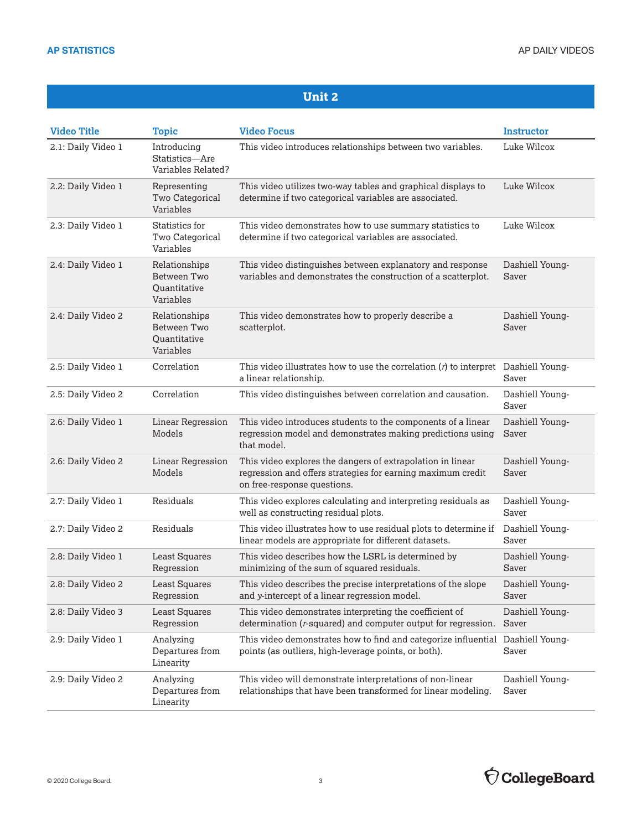| <b>Video Title</b> | <b>Topic</b>                                                     | <b>Video Focus</b>                                                                                                                                       | <b>Instructor</b>        |
|--------------------|------------------------------------------------------------------|----------------------------------------------------------------------------------------------------------------------------------------------------------|--------------------------|
| 2.1: Daily Video 1 | Introducing<br>Statistics-Are<br>Variables Related?              | This video introduces relationships between two variables.                                                                                               | Luke Wilcox              |
| 2.2: Daily Video 1 | Representing<br>Two Categorical<br>Variables                     | This video utilizes two-way tables and graphical displays to<br>determine if two categorical variables are associated.                                   | Luke Wilcox              |
| 2.3: Daily Video 1 | Statistics for<br>Two Categorical<br>Variables                   | This video demonstrates how to use summary statistics to<br>determine if two categorical variables are associated.                                       | Luke Wilcox              |
| 2.4: Daily Video 1 | Relationships<br>Between Two<br><b>Quantitative</b><br>Variables | This video distinguishes between explanatory and response<br>variables and demonstrates the construction of a scatterplot.                               | Dashiell Young-<br>Saver |
| 2.4: Daily Video 2 | Relationships<br>Between Two<br><b>Quantitative</b><br>Variables | This video demonstrates how to properly describe a<br>scatterplot.                                                                                       | Dashiell Young-<br>Saver |
| 2.5: Daily Video 1 | Correlation                                                      | This video illustrates how to use the correlation $(r)$ to interpret Dashiell Young-<br>a linear relationship.                                           | Saver                    |
| 2.5: Daily Video 2 | Correlation                                                      | This video distinguishes between correlation and causation.                                                                                              | Dashiell Young-<br>Saver |
| 2.6: Daily Video 1 | Linear Regression<br>Models                                      | This video introduces students to the components of a linear<br>regression model and demonstrates making predictions using<br>that model.                | Dashiell Young-<br>Saver |
| 2.6: Daily Video 2 | <b>Linear Regression</b><br>Models                               | This video explores the dangers of extrapolation in linear<br>regression and offers strategies for earning maximum credit<br>on free-response questions. | Dashiell Young-<br>Saver |
| 2.7: Daily Video 1 | Residuals                                                        | This video explores calculating and interpreting residuals as<br>well as constructing residual plots.                                                    | Dashiell Young-<br>Saver |
| 2.7: Daily Video 2 | Residuals                                                        | This video illustrates how to use residual plots to determine if<br>linear models are appropriate for different datasets.                                | Dashiell Young-<br>Saver |
| 2.8: Daily Video 1 | Least Squares<br>Regression                                      | This video describes how the LSRL is determined by<br>minimizing of the sum of squared residuals.                                                        | Dashiell Young-<br>Saver |
| 2.8: Daily Video 2 | Least Squares<br>Regression                                      | This video describes the precise interpretations of the slope<br>and y-intercept of a linear regression model.                                           | Dashiell Young-<br>Saver |
| 2.8: Daily Video 3 | <b>Least Squares</b><br>Regression                               | This video demonstrates interpreting the coefficient of<br>determination (r-squared) and computer output for regression.                                 | Dashiell Young-<br>Saver |
| 2.9: Daily Video 1 | Analyzing<br>Departures from<br>Linearity                        | This video demonstrates how to find and categorize influential Dashiell Young-<br>points (as outliers, high-leverage points, or both).                   | Saver                    |
| 2.9: Daily Video 2 | Analyzing<br>Departures from<br>Linearity                        | This video will demonstrate interpretations of non-linear<br>relationships that have been transformed for linear modeling.                               | Dashiell Young-<br>Saver |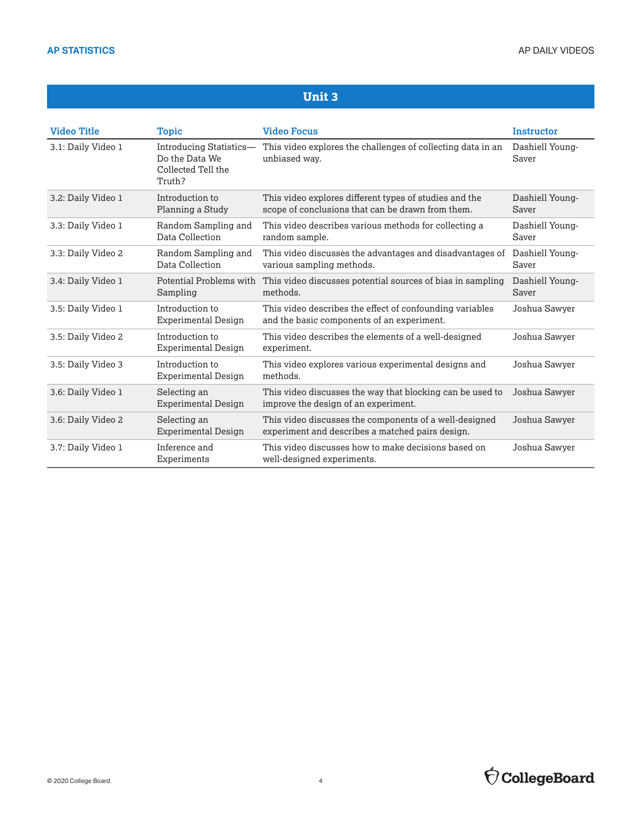| <b>Video Title</b> | <b>Topic</b>                                                              | <b>Video Focus</b>                                                                                          | <b>Instructor</b>        |
|--------------------|---------------------------------------------------------------------------|-------------------------------------------------------------------------------------------------------------|--------------------------|
| 3.1: Daily Video 1 | Introducing Statistics-<br>Do the Data We<br>Collected Tell the<br>Truth? | This video explores the challenges of collecting data in an<br>unbiased wav.                                | Dashiell Young-<br>Saver |
| 3.2: Daily Video 1 | Introduction to<br>Planning a Study                                       | This video explores different types of studies and the<br>scope of conclusions that can be drawn from them. | Dashiell Young-<br>Saver |
| 3.3: Daily Video 1 | Random Sampling and<br>Data Collection                                    | This video describes various methods for collecting a<br>random sample.                                     | Dashiell Young-<br>Saver |
| 3.3: Daily Video 2 | Random Sampling and<br>Data Collection                                    | This video discusses the advantages and disadvantages of<br>various sampling methods.                       | Dashiell Young-<br>Saver |
| 3.4: Daily Video 1 | Potential Problems with<br>Sampling                                       | This video discusses potential sources of bias in sampling<br>methods.                                      | Dashiell Young-<br>Saver |
| 3.5: Daily Video 1 | Introduction to<br><b>Experimental Design</b>                             | This video describes the effect of confounding variables<br>and the basic components of an experiment.      | Joshua Sawyer            |
| 3.5: Daily Video 2 | Introduction to<br><b>Experimental Design</b>                             | This video describes the elements of a well-designed<br>experiment.                                         | Joshua Sawyer            |
| 3.5: Daily Video 3 | Introduction to<br><b>Experimental Design</b>                             | This video explores various experimental designs and<br>methods.                                            | Joshua Sawyer            |
| 3.6: Daily Video 1 | Selecting an<br><b>Experimental Design</b>                                | This video discusses the way that blocking can be used to<br>improve the design of an experiment.           | Joshua Sawyer            |
| 3.6: Daily Video 2 | Selecting an<br><b>Experimental Design</b>                                | This video discusses the components of a well-designed<br>experiment and describes a matched pairs design.  | Joshua Sawyer            |
| 3.7: Daily Video 1 | Inference and<br>Experiments                                              | This video discusses how to make decisions based on<br>well-designed experiments.                           | Joshua Sawyer            |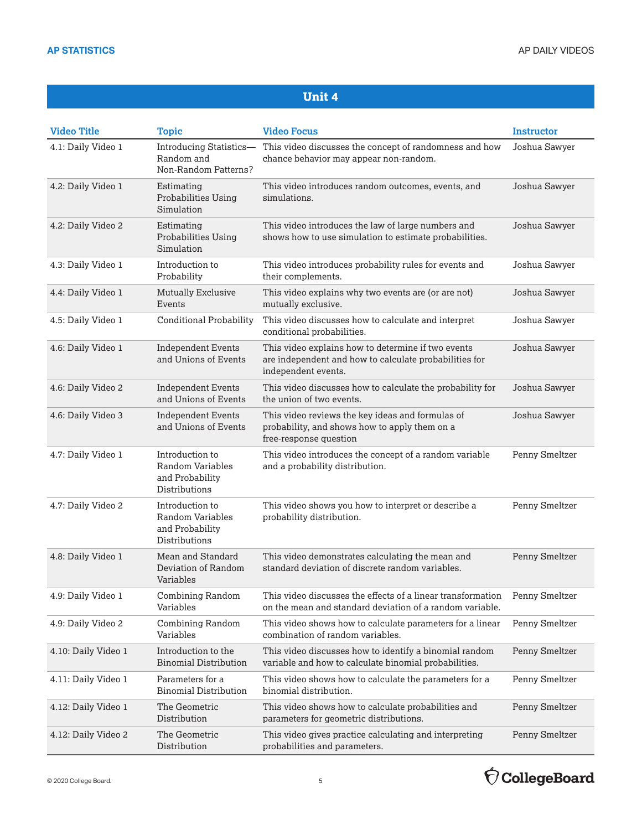| <b>Video Title</b>  | <b>Topic</b>                                                            | <b>Video Focus</b>                                                                                                                  | <b>Instructor</b> |
|---------------------|-------------------------------------------------------------------------|-------------------------------------------------------------------------------------------------------------------------------------|-------------------|
| 4.1: Daily Video 1  | Introducing Statistics-<br>Random and<br>Non-Random Patterns?           | This video discusses the concept of randomness and how<br>chance behavior may appear non-random.                                    | Joshua Sawyer     |
| 4.2: Daily Video 1  | Estimating<br>Probabilities Using<br>Simulation                         | This video introduces random outcomes, events, and<br>simulations.                                                                  | Joshua Sawyer     |
| 4.2: Daily Video 2  | Estimating<br>Probabilities Using<br>Simulation                         | This video introduces the law of large numbers and<br>shows how to use simulation to estimate probabilities.                        | Joshua Sawyer     |
| 4.3: Daily Video 1  | Introduction to<br>Probability                                          | This video introduces probability rules for events and<br>their complements.                                                        | Joshua Sawyer     |
| 4.4: Daily Video 1  | <b>Mutually Exclusive</b><br>Events                                     | This video explains why two events are (or are not)<br>mutually exclusive.                                                          | Joshua Sawyer     |
| 4.5: Daily Video 1  | <b>Conditional Probability</b>                                          | This video discusses how to calculate and interpret<br>conditional probabilities.                                                   | Joshua Sawyer     |
| 4.6: Daily Video 1  | <b>Independent Events</b><br>and Unions of Events                       | This video explains how to determine if two events<br>are independent and how to calculate probabilities for<br>independent events. | Joshua Sawyer     |
| 4.6: Daily Video 2  | <b>Independent Events</b><br>and Unions of Events                       | This video discusses how to calculate the probability for<br>the union of two events.                                               | Joshua Sawyer     |
| 4.6: Daily Video 3  | <b>Independent Events</b><br>and Unions of Events                       | This video reviews the key ideas and formulas of<br>probability, and shows how to apply them on a<br>free-response question         | Joshua Sawyer     |
| 4.7: Daily Video 1  | Introduction to<br>Random Variables<br>and Probability<br>Distributions | This video introduces the concept of a random variable<br>and a probability distribution.                                           | Penny Smeltzer    |
| 4.7: Daily Video 2  | Introduction to<br>Random Variables<br>and Probability<br>Distributions | This video shows you how to interpret or describe a<br>probability distribution.                                                    | Penny Smeltzer    |
| 4.8: Daily Video 1  | Mean and Standard<br>Deviation of Random<br>Variables                   | This video demonstrates calculating the mean and<br>standard deviation of discrete random variables.                                | Penny Smeltzer    |
| 4.9: Daily Video 1  | <b>Combining Random</b><br>Variables                                    | This video discusses the effects of a linear transformation<br>on the mean and standard deviation of a random variable.             | Penny Smeltzer    |
| 4.9: Daily Video 2  | Combining Random<br>Variables                                           | This video shows how to calculate parameters for a linear<br>combination of random variables.                                       | Penny Smeltzer    |
| 4.10: Daily Video 1 | Introduction to the<br><b>Binomial Distribution</b>                     | This video discusses how to identify a binomial random<br>variable and how to calculate binomial probabilities.                     | Penny Smeltzer    |
| 4.11: Daily Video 1 | Parameters for a<br><b>Binomial Distribution</b>                        | This video shows how to calculate the parameters for a<br>binomial distribution.                                                    | Penny Smeltzer    |
| 4.12: Daily Video 1 | The Geometric<br>Distribution                                           | This video shows how to calculate probabilities and<br>parameters for geometric distributions.                                      | Penny Smeltzer    |
| 4.12: Daily Video 2 | The Geometric<br>Distribution                                           | This video gives practice calculating and interpreting<br>probabilities and parameters.                                             | Penny Smeltzer    |



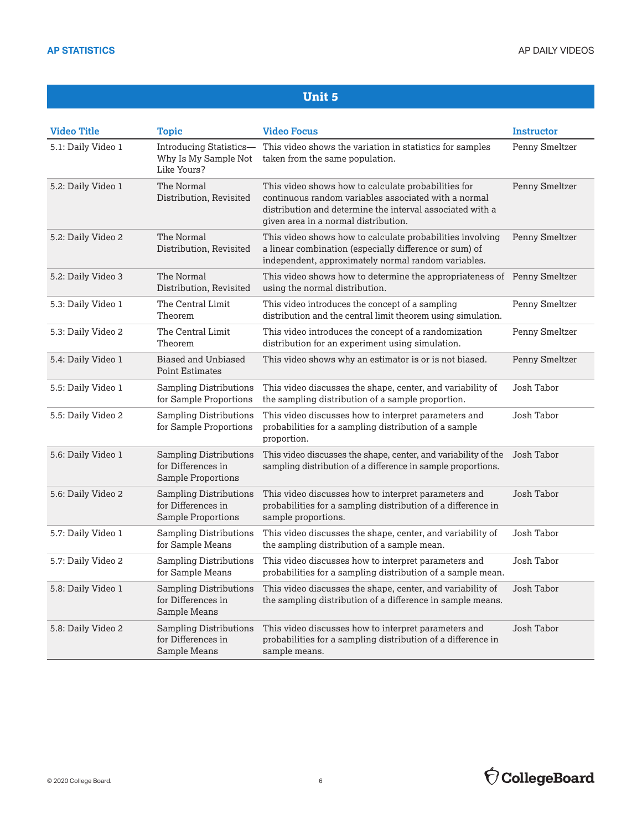| <b>Video Title</b> | <b>Topic</b>                                                              | <b>Video Focus</b>                                                                                                                                                                                               | Instructor     |
|--------------------|---------------------------------------------------------------------------|------------------------------------------------------------------------------------------------------------------------------------------------------------------------------------------------------------------|----------------|
| 5.1: Daily Video 1 | Introducing Statistics-<br>Why Is My Sample Not<br>Like Yours?            | This video shows the variation in statistics for samples<br>taken from the same population.                                                                                                                      | Penny Smeltzer |
| 5.2: Daily Video 1 | The Normal<br>Distribution, Revisited                                     | This video shows how to calculate probabilities for<br>continuous random variables associated with a normal<br>distribution and determine the interval associated with a<br>given area in a normal distribution. | Penny Smeltzer |
| 5.2: Daily Video 2 | The Normal<br>Distribution, Revisited                                     | This video shows how to calculate probabilities involving<br>a linear combination (especially difference or sum) of<br>independent, approximately normal random variables.                                       | Penny Smeltzer |
| 5.2: Daily Video 3 | The Normal<br>Distribution, Revisited                                     | This video shows how to determine the appropriateness of Penny Smeltzer<br>using the normal distribution.                                                                                                        |                |
| 5.3: Daily Video 1 | The Central Limit<br>Theorem                                              | This video introduces the concept of a sampling<br>distribution and the central limit theorem using simulation.                                                                                                  | Penny Smeltzer |
| 5.3: Daily Video 2 | The Central Limit<br>Theorem                                              | This video introduces the concept of a randomization<br>distribution for an experiment using simulation.                                                                                                         | Penny Smeltzer |
| 5.4: Daily Video 1 | <b>Biased and Unbiased</b><br><b>Point Estimates</b>                      | This video shows why an estimator is or is not biased.                                                                                                                                                           | Penny Smeltzer |
| 5.5: Daily Video 1 | <b>Sampling Distributions</b><br>for Sample Proportions                   | This video discusses the shape, center, and variability of<br>the sampling distribution of a sample proportion.                                                                                                  | Josh Tabor     |
| 5.5: Daily Video 2 | <b>Sampling Distributions</b><br>for Sample Proportions                   | This video discusses how to interpret parameters and<br>probabilities for a sampling distribution of a sample<br>proportion.                                                                                     | Josh Tabor     |
| 5.6: Daily Video 1 | <b>Sampling Distributions</b><br>for Differences in<br>Sample Proportions | This video discusses the shape, center, and variability of the<br>sampling distribution of a difference in sample proportions.                                                                                   | Josh Tabor     |
| 5.6: Daily Video 2 | <b>Sampling Distributions</b><br>for Differences in<br>Sample Proportions | This video discusses how to interpret parameters and<br>probabilities for a sampling distribution of a difference in<br>sample proportions.                                                                      | Josh Tabor     |
| 5.7: Daily Video 1 | <b>Sampling Distributions</b><br>for Sample Means                         | This video discusses the shape, center, and variability of<br>the sampling distribution of a sample mean.                                                                                                        | Josh Tabor     |
| 5.7: Daily Video 2 | <b>Sampling Distributions</b><br>for Sample Means                         | This video discusses how to interpret parameters and<br>probabilities for a sampling distribution of a sample mean.                                                                                              | Josh Tabor     |
| 5.8: Daily Video 1 | <b>Sampling Distributions</b><br>for Differences in<br>Sample Means       | This video discusses the shape, center, and variability of<br>the sampling distribution of a difference in sample means.                                                                                         | Josh Tabor     |
| 5.8: Daily Video 2 | <b>Sampling Distributions</b><br>for Differences in<br>Sample Means       | This video discusses how to interpret parameters and<br>probabilities for a sampling distribution of a difference in<br>sample means.                                                                            | Josh Tabor     |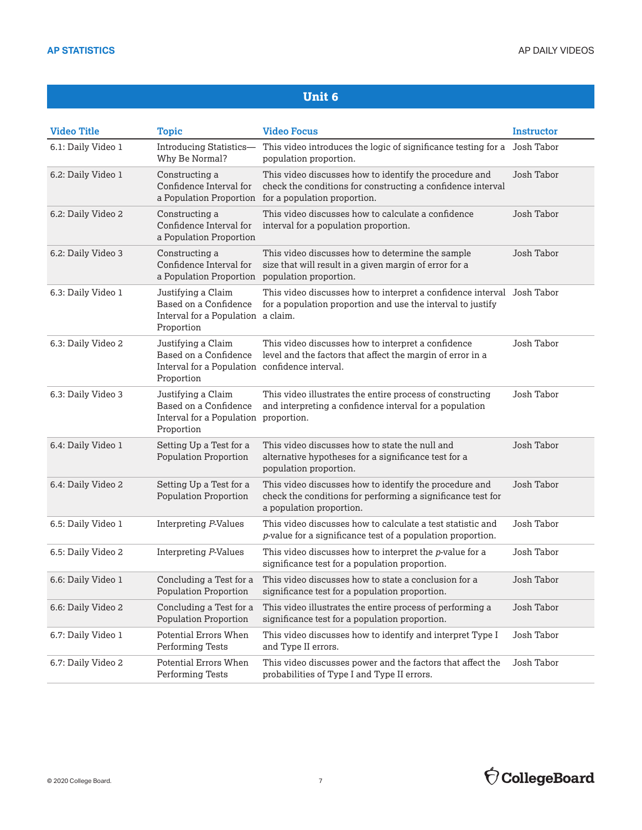| <b>Video Title</b> | <b>Topic</b>                                                                                                | <b>Video Focus</b>                                                                                                                                    | <b>Instructor</b> |
|--------------------|-------------------------------------------------------------------------------------------------------------|-------------------------------------------------------------------------------------------------------------------------------------------------------|-------------------|
| 6.1: Daily Video 1 | Introducing Statistics-<br>Why Be Normal?                                                                   | This video introduces the logic of significance testing for a<br>population proportion.                                                               | Josh Tabor        |
| 6.2: Daily Video 1 | Constructing a<br>Confidence Interval for<br>a Population Proportion                                        | This video discusses how to identify the procedure and<br>check the conditions for constructing a confidence interval<br>for a population proportion. | Josh Tabor        |
| 6.2: Daily Video 2 | Constructing a<br>Confidence Interval for<br>a Population Proportion                                        | This video discusses how to calculate a confidence<br>interval for a population proportion.                                                           | Josh Tabor        |
| 6.2: Daily Video 3 | Constructing a<br>Confidence Interval for<br>a Population Proportion population proportion.                 | This video discusses how to determine the sample<br>size that will result in a given margin of error for a                                            | Josh Tabor        |
| 6.3: Daily Video 1 | Justifying a Claim<br>Based on a Confidence<br>Interval for a Population a claim.<br>Proportion             | This video discusses how to interpret a confidence interval Josh Tabor<br>for a population proportion and use the interval to justify                 |                   |
| 6.3: Daily Video 2 | Justifying a Claim<br>Based on a Confidence<br>Interval for a Population confidence interval.<br>Proportion | This video discusses how to interpret a confidence<br>level and the factors that affect the margin of error in a                                      | Josh Tabor        |
| 6.3: Daily Video 3 | Justifying a Claim<br>Based on a Confidence<br>Interval for a Population proportion.<br>Proportion          | This video illustrates the entire process of constructing<br>and interpreting a confidence interval for a population                                  | Josh Tabor        |
| 6.4: Daily Video 1 | Setting Up a Test for a<br><b>Population Proportion</b>                                                     | This video discusses how to state the null and<br>alternative hypotheses for a significance test for a<br>population proportion.                      | Josh Tabor        |
| 6.4: Daily Video 2 | Setting Up a Test for a<br><b>Population Proportion</b>                                                     | This video discusses how to identify the procedure and<br>check the conditions for performing a significance test for<br>a population proportion.     | Josh Tabor        |
| 6.5: Daily Video 1 | Interpreting P-Values                                                                                       | This video discusses how to calculate a test statistic and<br>p-value for a significance test of a population proportion.                             | Josh Tabor        |
| 6.5: Daily Video 2 | Interpreting P-Values                                                                                       | This video discusses how to interpret the <i>p</i> -value for a<br>significance test for a population proportion.                                     | Josh Tabor        |
| 6.6: Daily Video 1 | Concluding a Test for a<br>Population Proportion                                                            | This video discusses how to state a conclusion for a<br>significance test for a population proportion.                                                | Josh Tabor        |
| 6.6: Daily Video 2 | Concluding a Test for a<br><b>Population Proportion</b>                                                     | This video illustrates the entire process of performing a<br>significance test for a population proportion.                                           | Josh Tabor        |
| 6.7: Daily Video 1 | Potential Errors When<br>Performing Tests                                                                   | This video discusses how to identify and interpret Type I<br>and Type II errors.                                                                      | Josh Tabor        |
| 6.7: Daily Video 2 | Potential Errors When<br>Performing Tests                                                                   | This video discusses power and the factors that affect the<br>probabilities of Type I and Type II errors.                                             | Josh Tabor        |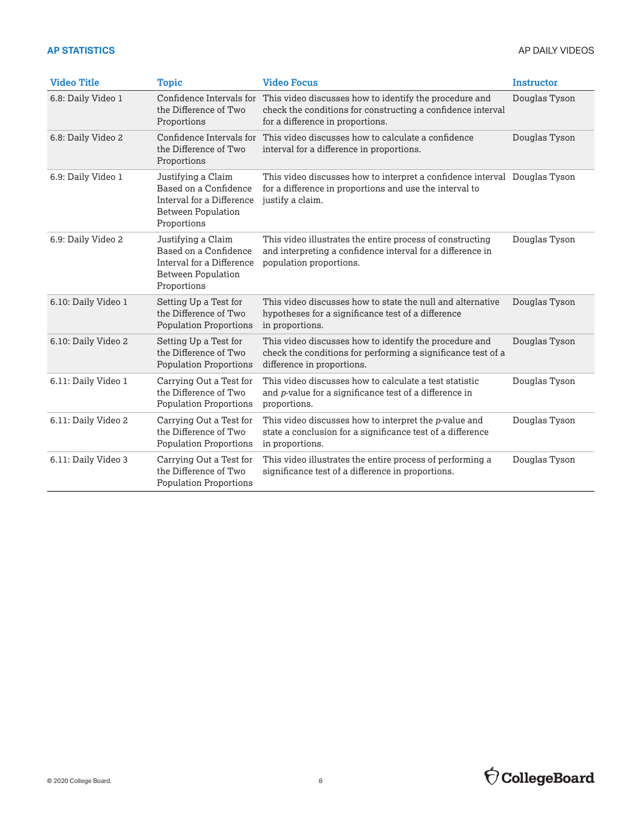| <b>Video Title</b>  | <b>Topic</b>                                                                                                         | <b>Video Focus</b>                                                                                                                                        | <b>Instructor</b> |
|---------------------|----------------------------------------------------------------------------------------------------------------------|-----------------------------------------------------------------------------------------------------------------------------------------------------------|-------------------|
| 6.8: Daily Video 1  | Confidence Intervals for<br>the Difference of Two<br>Proportions                                                     | This video discusses how to identify the procedure and<br>check the conditions for constructing a confidence interval<br>for a difference in proportions. | Douglas Tyson     |
| 6.8: Daily Video 2  | Confidence Intervals for<br>the Difference of Two<br>Proportions                                                     | This video discusses how to calculate a confidence<br>interval for a difference in proportions.                                                           | Douglas Tyson     |
| 6.9: Daily Video 1  | Justifying a Claim<br>Based on a Confidence<br>Interval for a Difference<br><b>Between Population</b><br>Proportions | This video discusses how to interpret a confidence interval Douglas Tyson<br>for a difference in proportions and use the interval to<br>justify a claim.  |                   |
| 6.9: Daily Video 2  | Justifying a Claim<br>Based on a Confidence<br>Interval for a Difference<br><b>Between Population</b><br>Proportions | This video illustrates the entire process of constructing<br>and interpreting a confidence interval for a difference in<br>population proportions.        | Douglas Tyson     |
| 6.10: Daily Video 1 | Setting Up a Test for<br>the Difference of Two<br><b>Population Proportions</b>                                      | This video discusses how to state the null and alternative<br>hypotheses for a significance test of a difference<br>in proportions.                       | Douglas Tyson     |
| 6.10: Daily Video 2 | Setting Up a Test for<br>the Difference of Two<br><b>Population Proportions</b>                                      | This video discusses how to identify the procedure and<br>check the conditions for performing a significance test of a<br>difference in proportions.      | Douglas Tyson     |
| 6.11: Daily Video 1 | Carrying Out a Test for<br>the Difference of Two<br><b>Population Proportions</b>                                    | This video discusses how to calculate a test statistic<br>and p-value for a significance test of a difference in<br>proportions.                          | Douglas Tyson     |
| 6.11: Daily Video 2 | Carrying Out a Test for<br>the Difference of Two<br><b>Population Proportions</b>                                    | This video discusses how to interpret the p-value and<br>state a conclusion for a significance test of a difference<br>in proportions.                    | Douglas Tyson     |
| 6.11: Daily Video 3 | Carrying Out a Test for<br>the Difference of Two<br><b>Population Proportions</b>                                    | This video illustrates the entire process of performing a<br>significance test of a difference in proportions.                                            | Douglas Tyson     |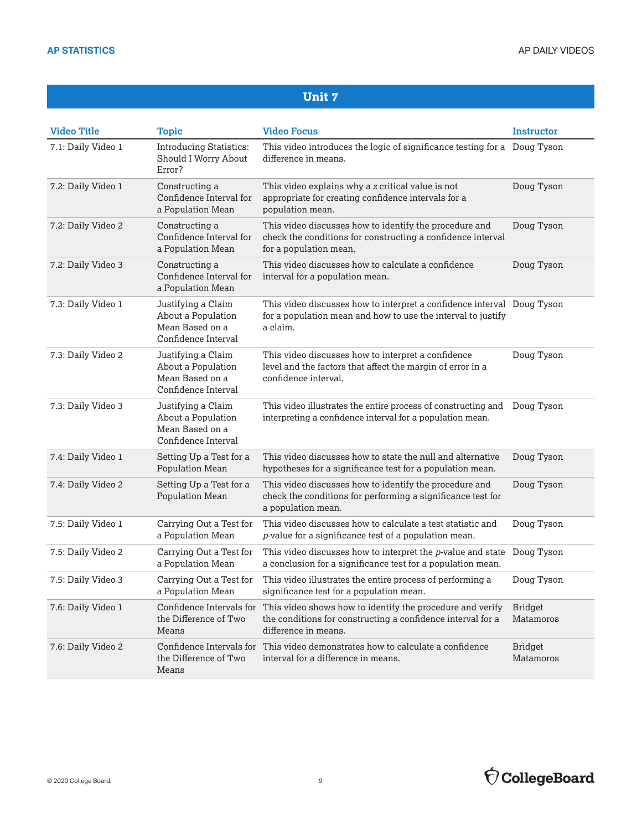| <b>Video Title</b> | <b>Topic</b>                                                                       | <b>Video Focus</b>                                                                                                                                 | <b>Instructor</b>           |
|--------------------|------------------------------------------------------------------------------------|----------------------------------------------------------------------------------------------------------------------------------------------------|-----------------------------|
| 7.1: Daily Video 1 | <b>Introducing Statistics:</b><br>Should I Worry About<br>Error?                   | This video introduces the logic of significance testing for a Doug Tyson<br>difference in means.                                                   |                             |
| 7.2: Daily Video 1 | Constructing a<br>Confidence Interval for<br>a Population Mean                     | This video explains why a z critical value is not<br>appropriate for creating confidence intervals for a<br>population mean.                       | Doug Tyson                  |
| 7.2: Daily Video 2 | Constructing a<br>Confidence Interval for<br>a Population Mean                     | This video discusses how to identify the procedure and<br>check the conditions for constructing a confidence interval<br>for a population mean.    | Doug Tyson                  |
| 7.2: Daily Video 3 | Constructing a<br>Confidence Interval for<br>a Population Mean                     | This video discusses how to calculate a confidence<br>interval for a population mean.                                                              | Doug Tyson                  |
| 7.3: Daily Video 1 | Justifying a Claim<br>About a Population<br>Mean Based on a<br>Confidence Interval | This video discusses how to interpret a confidence interval Doug Tyson<br>for a population mean and how to use the interval to justify<br>a claim. |                             |
| 7.3: Daily Video 2 | Justifying a Claim<br>About a Population<br>Mean Based on a<br>Confidence Interval | This video discusses how to interpret a confidence<br>level and the factors that affect the margin of error in a<br>confidence interval.           | Doug Tyson                  |
| 7.3: Daily Video 3 | Justifying a Claim<br>About a Population<br>Mean Based on a<br>Confidence Interval | This video illustrates the entire process of constructing and<br>interpreting a confidence interval for a population mean.                         | Doug Tyson                  |
| 7.4: Daily Video 1 | Setting Up a Test for a<br>Population Mean                                         | This video discusses how to state the null and alternative<br>hypotheses for a significance test for a population mean.                            | Doug Tyson                  |
| 7.4: Daily Video 2 | Setting Up a Test for a<br>Population Mean                                         | This video discusses how to identify the procedure and<br>check the conditions for performing a significance test for<br>a population mean.        | Doug Tyson                  |
| 7.5: Daily Video 1 | Carrying Out a Test for<br>a Population Mean                                       | This video discusses how to calculate a test statistic and<br>p-value for a significance test of a population mean.                                | Doug Tyson                  |
| 7.5: Daily Video 2 | Carrying Out a Test for<br>a Population Mean                                       | This video discusses how to interpret the $p$ -value and state Doug Tyson<br>a conclusion for a significance test for a population mean.           |                             |
| 7.5: Daily Video 3 | Carrying Out a Test for<br>a Population Mean                                       | This video illustrates the entire process of performing a<br>significance test for a population mean.                                              | Doug Tyson                  |
| 7.6: Daily Video 1 | Confidence Intervals for<br>the Difference of Two<br>Means                         | This video shows how to identify the procedure and verify<br>the conditions for constructing a confidence interval for a<br>difference in means.   | <b>Bridget</b><br>Matamoros |
| 7.6: Daily Video 2 | the Difference of Two<br>Means                                                     | Confidence Intervals for This video demonstrates how to calculate a confidence<br>interval for a difference in means.                              | <b>Bridget</b><br>Matamoros |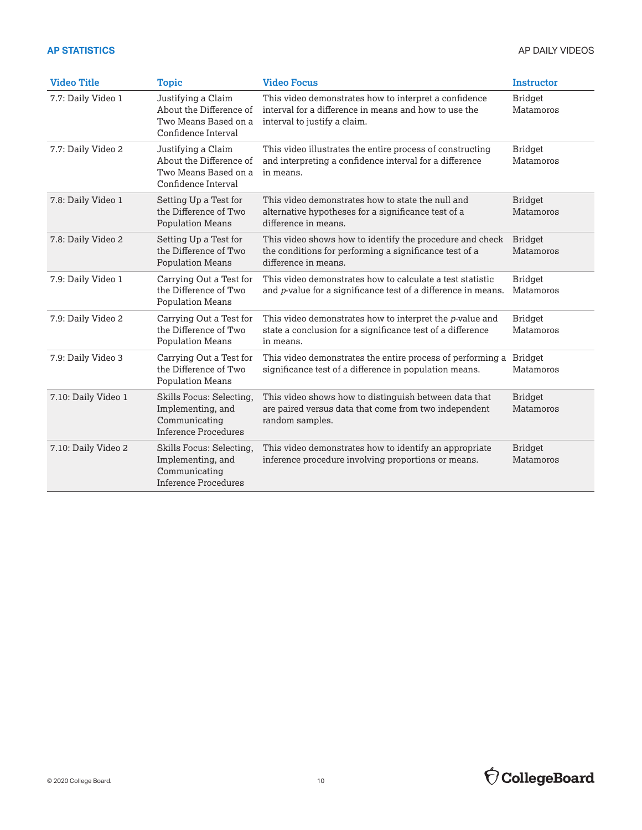| <b>Video Title</b>  | <b>Topic</b>                                                                                  | <b>Video Focus</b>                                                                                                                             | <b>Instructor</b>           |
|---------------------|-----------------------------------------------------------------------------------------------|------------------------------------------------------------------------------------------------------------------------------------------------|-----------------------------|
| 7.7: Daily Video 1  | Justifying a Claim<br>About the Difference of<br>Two Means Based on a<br>Confidence Interval  | This video demonstrates how to interpret a confidence<br>interval for a difference in means and how to use the<br>interval to justify a claim. | <b>Bridget</b><br>Matamoros |
| 7.7: Daily Video 2  | Justifying a Claim<br>About the Difference of<br>Two Means Based on a<br>Confidence Interval  | This video illustrates the entire process of constructing<br>and interpreting a confidence interval for a difference<br>in means.              | <b>Bridget</b><br>Matamoros |
| 7.8: Daily Video 1  | Setting Up a Test for<br>the Difference of Two<br><b>Population Means</b>                     | This video demonstrates how to state the null and<br>alternative hypotheses for a significance test of a<br>difference in means.               | <b>Bridget</b><br>Matamoros |
| 7.8: Daily Video 2  | Setting Up a Test for<br>the Difference of Two<br><b>Population Means</b>                     | This video shows how to identify the procedure and check<br>the conditions for performing a significance test of a<br>difference in means.     | <b>Bridget</b><br>Matamoros |
| 7.9: Daily Video 1  | Carrying Out a Test for<br>the Difference of Two<br><b>Population Means</b>                   | This video demonstrates how to calculate a test statistic<br>and p-value for a significance test of a difference in means.                     | <b>Bridget</b><br>Matamoros |
| 7.9: Daily Video 2  | Carrying Out a Test for<br>the Difference of Two<br><b>Population Means</b>                   | This video demonstrates how to interpret the p-value and<br>state a conclusion for a significance test of a difference<br>in means.            | <b>Bridget</b><br>Matamoros |
| 7.9: Daily Video 3  | Carrying Out a Test for<br>the Difference of Two<br><b>Population Means</b>                   | This video demonstrates the entire process of performing a<br>significance test of a difference in population means.                           | <b>Bridget</b><br>Matamoros |
| 7.10: Daily Video 1 | Skills Focus: Selecting,<br>Implementing, and<br>Communicating<br>Inference Procedures        | This video shows how to distinguish between data that<br>are paired versus data that come from two independent<br>random samples.              | <b>Bridget</b><br>Matamoros |
| 7.10: Daily Video 2 | Skills Focus: Selecting,<br>Implementing, and<br>Communicating<br><b>Inference Procedures</b> | This video demonstrates how to identify an appropriate<br>inference procedure involving proportions or means.                                  | <b>Bridget</b><br>Matamoros |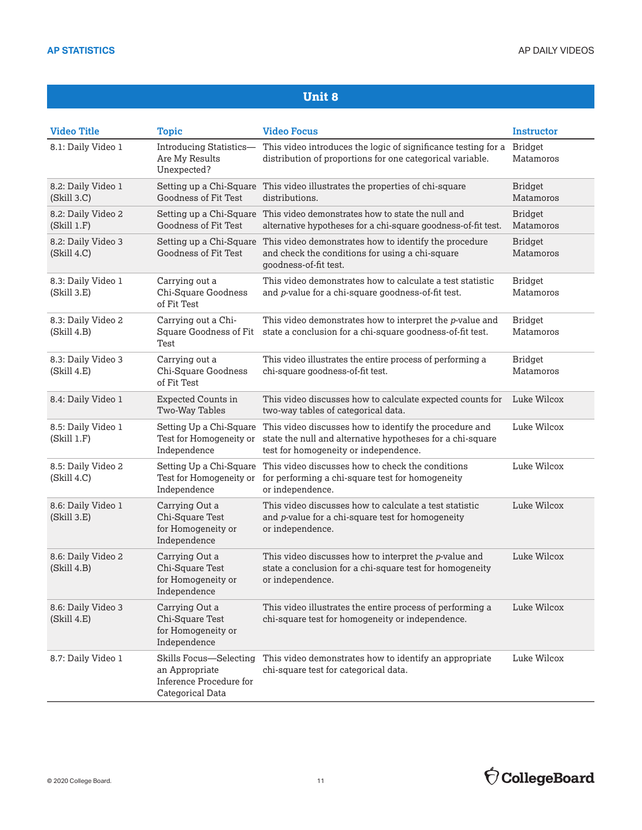| <b>Video Title</b>                | <b>Topic</b>                                                                            | <b>Video Focus</b>                                                                                                                                            | <b>Instructor</b>           |
|-----------------------------------|-----------------------------------------------------------------------------------------|---------------------------------------------------------------------------------------------------------------------------------------------------------------|-----------------------------|
| 8.1: Daily Video 1                | Introducing Statistics-<br>Are My Results<br>Unexpected?                                | This video introduces the logic of significance testing for a<br>distribution of proportions for one categorical variable.                                    | <b>Bridget</b><br>Matamoros |
| 8.2: Daily Video 1<br>(Skill 3.C) | Setting up a Chi-Square<br>Goodness of Fit Test                                         | This video illustrates the properties of chi-square<br>distributions.                                                                                         | <b>Bridget</b><br>Matamoros |
| 8.2: Daily Video 2<br>(Skill 1.F) | Goodness of Fit Test                                                                    | Setting up a Chi-Square This video demonstrates how to state the null and<br>alternative hypotheses for a chi-square goodness-of-fit test.                    | <b>Bridget</b><br>Matamoros |
| 8.2: Daily Video 3<br>(Skill 4.C) | Setting up a Chi-Square<br>Goodness of Fit Test                                         | This video demonstrates how to identify the procedure<br>and check the conditions for using a chi-square<br>goodness-of-fit test.                             | <b>Bridget</b><br>Matamoros |
| 8.3: Daily Video 1<br>(Skill 3.E) | Carrying out a<br>Chi-Square Goodness<br>of Fit Test                                    | This video demonstrates how to calculate a test statistic<br>and p-value for a chi-square goodness-of-fit test.                                               | <b>Bridget</b><br>Matamoros |
| 8.3: Daily Video 2<br>(Skill 4.B) | Carrying out a Chi-<br>Square Goodness of Fit<br>Test                                   | This video demonstrates how to interpret the p-value and<br>state a conclusion for a chi-square goodness-of-fit test.                                         | <b>Bridget</b><br>Matamoros |
| 8.3: Daily Video 3<br>(Skill 4.E) | Carrying out a<br>Chi-Square Goodness<br>of Fit Test                                    | This video illustrates the entire process of performing a<br>chi-square goodness-of-fit test.                                                                 | <b>Bridget</b><br>Matamoros |
| 8.4: Daily Video 1                | <b>Expected Counts in</b><br>Two-Way Tables                                             | This video discusses how to calculate expected counts for<br>two-way tables of categorical data.                                                              | Luke Wilcox                 |
| 8.5: Daily Video 1<br>(Skill 1.F) | Setting Up a Chi-Square<br>Test for Homogeneity or<br>Independence                      | This video discusses how to identify the procedure and<br>state the null and alternative hypotheses for a chi-square<br>test for homogeneity or independence. | Luke Wilcox                 |
| 8.5: Daily Video 2<br>(Skill 4.C) | Setting Up a Chi-Square<br>Independence                                                 | This video discusses how to check the conditions<br>Test for Homogeneity or for performing a chi-square test for homogeneity<br>or independence.              | Luke Wilcox                 |
| 8.6: Daily Video 1<br>(Skill 3.E) | Carrying Out a<br>Chi-Square Test<br>for Homogeneity or<br>Independence                 | This video discusses how to calculate a test statistic<br>and p-value for a chi-square test for homogeneity<br>or independence.                               | Luke Wilcox                 |
| 8.6: Daily Video 2<br>(Skill 4.B) | Carrying Out a<br>Chi-Square Test<br>for Homogeneity or<br>Independence                 | This video discusses how to interpret the p-value and<br>state a conclusion for a chi-square test for homogeneity<br>or independence.                         | Luke Wilcox                 |
| 8.6: Daily Video 3<br>(Skill 4.E) | Carrying Out a<br>Chi-Square Test<br>for Homogeneity or<br>Independence                 | This video illustrates the entire process of performing a<br>chi-square test for homogeneity or independence.                                                 | Luke Wilcox                 |
| 8.7: Daily Video 1                | Skills Focus-Selecting<br>an Appropriate<br>Inference Procedure for<br>Categorical Data | This video demonstrates how to identify an appropriate<br>chi-square test for categorical data.                                                               | Luke Wilcox                 |